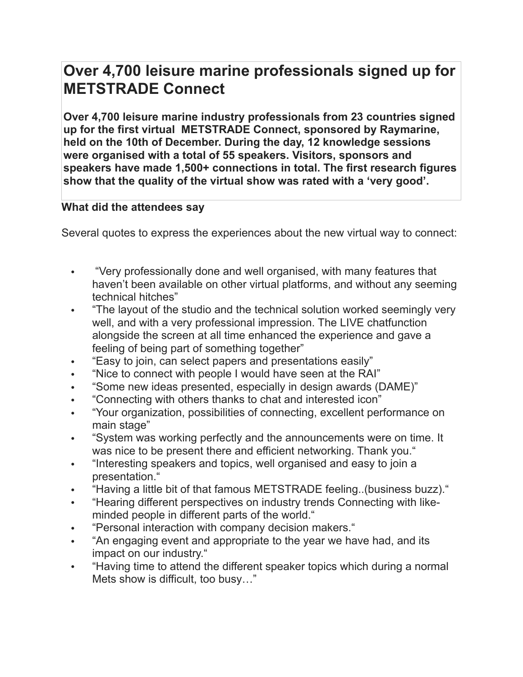## **Over 4,700 leisure marine professionals signed up for METSTRADE Connect**

**Over 4,700 leisure marine industry professionals from 23 countries signed up for the first virtual METSTRADE Connect, sponsored by Raymarine, held on the 10th of December. During the day, 12 knowledge sessions were organised with a total of 55 speakers. Visitors, sponsors and speakers have made 1,500+ connections in total. The first research figures show that the quality of the virtual show was rated with a 'very good'.**

## **What did the attendees say**

Several quotes to express the experiences about the new virtual way to connect:

- "Very professionally done and well organised, with many features that haven't been available on other virtual platforms, and without any seeming technical hitches"
- "The layout of the studio and the technical solution worked seemingly very well, and with a very professional impression. The LIVE chatfunction alongside the screen at all time enhanced the experience and gave a feeling of being part of something together"
- "Easy to join, can select papers and presentations easily"
- "Nice to connect with people I would have seen at the RAI"
- "Some new ideas presented, especially in design awards (DAME)"
- "Connecting with others thanks to chat and interested icon"
- "Your organization, possibilities of connecting, excellent performance on main stage"
- "System was working perfectly and the announcements were on time. It was nice to be present there and efficient networking. Thank you."
- "Interesting speakers and topics, well organised and easy to join a presentation."
- "Having a little bit of that famous METSTRADE feeling..(business buzz)."
- "Hearing different perspectives on industry trends Connecting with likeminded people in different parts of the world."
- "Personal interaction with company decision makers."
- "An engaging event and appropriate to the year we have had, and its impact on our industry."
- "Having time to attend the different speaker topics which during a normal Mets show is difficult, too busy…"